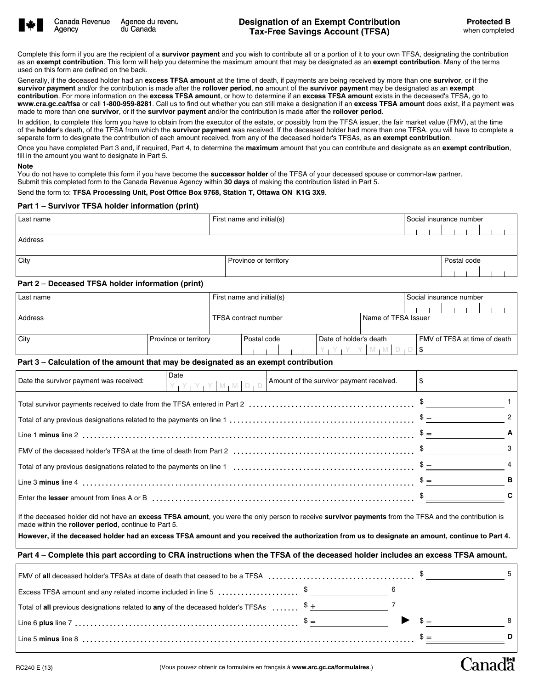

Agency

Canada Revenue Agence du revenu du Canada

**Canadä** 

Complete this form if you are the recipient of a **survivor payment** and you wish to contribute all or a portion of it to your own TFSA, designating the contribution as an **exempt contribution**. This form will help you determine the maximum amount that may be designated as an **exempt contribution**. Many of the terms used on this form are defined on the back.

Generally, if the deceased holder had an **excess TFSA amount** at the time of death, if payments are being received by more than one **survivor**, or if the **survivor payment** and/or the contribution is made after the **rollover period**, **no** amount of the **survivor payment** may be designated as an **exempt contribution**. For more information on the **excess TFSA amount**, or how to determine if an **excess TFSA amount** exists in the deceased's TFSA, go to **www.cra.gc.ca/tfsa** or call **1-800-959-8281**. Call us to find out whether you can still make a designation if an **excess TFSA amount** does exist, if a payment was made to more than one **survivor**, or if the **survivor payment** and/or the contribution is made after the **rollover period**.

In addition, to complete this form you have to obtain from the executor of the estate, or possibly from the TFSA issuer, the fair market value (FMV), at the time of the **holder**'s death, of the TFSA from which the **survivor payment** was received. If the deceased holder had more than one TFSA, you will have to complete a separate form to designate the contribution of each amount received, from any of the deceased holder's TFSAs, as **an exempt contribution**.

Once you have completed Part 3 and, if required, Part 4, to determine the **maximum** amount that you can contribute and designate as an **exempt contribution**, fill in the amount you want to designate in Part 5.

#### **Note**

You do not have to complete this form if you have become the **successor holder** of the TFSA of your deceased spouse or common-law partner. Submit this completed form to the Canada Revenue Agency within **30 days** of making the contribution listed in Part 5.

Send the form to: **TFSA Processing Unit, Post Office Box 9768, Station T, Ottawa ON K1G 3X9**.

### **Part 1** – **Survivor TFSA holder information (print)**

| Last name                                         | First name and initial(s) | Social insurance number |             |  |  |  |  |  |
|---------------------------------------------------|---------------------------|-------------------------|-------------|--|--|--|--|--|
|                                                   |                           |                         |             |  |  |  |  |  |
| Address                                           |                           |                         |             |  |  |  |  |  |
|                                                   |                           |                         |             |  |  |  |  |  |
| City                                              | Province or territory     |                         | Postal code |  |  |  |  |  |
|                                                   |                           |                         |             |  |  |  |  |  |
| Part 2 – Deceased TFSA holder information (print) |                           |                         |             |  |  |  |  |  |
|                                                   | .                         | _                       |             |  |  |  |  |  |

| Last name | First name and initial(s)                     |                                       |  |  |  |  |  |                              | I Social insurance number |  |                                     |  |  |  |  |  |  |  |  |  |  |  |
|-----------|-----------------------------------------------|---------------------------------------|--|--|--|--|--|------------------------------|---------------------------|--|-------------------------------------|--|--|--|--|--|--|--|--|--|--|--|
|           |                                               |                                       |  |  |  |  |  |                              |                           |  |                                     |  |  |  |  |  |  |  |  |  |  |  |
| Address   | l Name of TFSA Issuer<br>TFSA contract number |                                       |  |  |  |  |  |                              |                           |  |                                     |  |  |  |  |  |  |  |  |  |  |  |
|           |                                               |                                       |  |  |  |  |  |                              |                           |  |                                     |  |  |  |  |  |  |  |  |  |  |  |
| City      | Province or territory                         | Date of holder's death<br>Postal code |  |  |  |  |  | FMV of TFSA at time of death |                           |  |                                     |  |  |  |  |  |  |  |  |  |  |  |
|           |                                               |                                       |  |  |  |  |  |                              |                           |  | $Y$ $Y$ $Y$ $Y$ $M$ $M$ $D$ $D$ $\$ |  |  |  |  |  |  |  |  |  |  |  |

### **Part 3** – **Calculation of the amount that may be designated as an exempt contribution**

| Date<br>Date the survivor payment was received:                                                                                                                                                                                                                                                   | $\vert \vee_1 \vee_1 \vee_1 \vee \vert \vee_1 \wedge \vert \otimes_1 \wedge \vert \circ \vert_1$ Amount of the survivor payment received. |               |
|---------------------------------------------------------------------------------------------------------------------------------------------------------------------------------------------------------------------------------------------------------------------------------------------------|-------------------------------------------------------------------------------------------------------------------------------------------|---------------|
|                                                                                                                                                                                                                                                                                                   |                                                                                                                                           |               |
|                                                                                                                                                                                                                                                                                                   |                                                                                                                                           | $\mathcal{P}$ |
|                                                                                                                                                                                                                                                                                                   |                                                                                                                                           | A             |
| $\mid$ FMV of the deceased holder's TFSA at the time of death from Part 2 $\, \, \ldots \, \, \ldots \, \, \ldots \, \, \ldots \, \, \ldots \, \, \ldots \, \ldots \, \, \ldots \, \, \ldots \, \, \ldots \, \, \, \ldots \, \, \ldots \, \, \ldots \, \, \ldots \, \, \ldots \, \, \ldots \, \,$ |                                                                                                                                           | 3             |
|                                                                                                                                                                                                                                                                                                   |                                                                                                                                           | 4             |
|                                                                                                                                                                                                                                                                                                   |                                                                                                                                           | в             |
|                                                                                                                                                                                                                                                                                                   |                                                                                                                                           | C             |
|                                                                                                                                                                                                                                                                                                   |                                                                                                                                           |               |

If the deceased holder did not have an **excess TFSA amount**, you were the only person to receive **survivor payments** from the TFSA and the contribution is made within the **rollover period**, continue to Part 5.

**However, if the deceased holder had an excess TFSA amount and you received the authorization from us to designate an amount, continue to Part 4.**

### **Part 4** – **Complete this part according to CRA instructions when the TFSA of the deceased holder includes an excess TFSA amount.**

| $\parallel$ FMV of all deceased holder's TFSAs at date of death that ceased to be a TFSA $\ldots$ , $\ldots$ , $\ldots$ , $\ldots$ , $\ldots$ , $\ldots$ , $\ldots$ |                  |  |   |
|---------------------------------------------------------------------------------------------------------------------------------------------------------------------|------------------|--|---|
|                                                                                                                                                                     |                  |  |   |
| Total of all previous designations related to any of the deceased holder's TFSAs $\ldots \ldots$ , $\frac{1}{2}$                                                    |                  |  |   |
|                                                                                                                                                                     | $\mathfrak{P} =$ |  | 8 |
|                                                                                                                                                                     |                  |  |   |